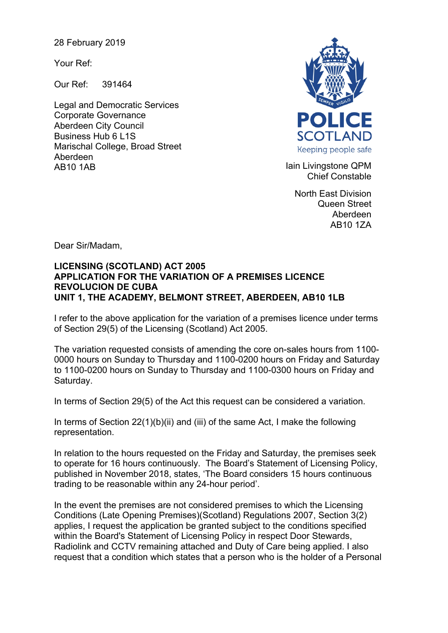28 February 2019

Your Ref:

Our Ref: 391464

Legal and Democratic Services Corporate Governance Aberdeen City Council Business Hub 6 L1S Marischal College, Broad Street Aberdeen AB10 1AB **Iain Livingstone QPM** 



Chief Constable

North East Division Queen Street Aberdeen AB10 1ZA

Dear Sir/Madam,

## **LICENSING (SCOTLAND) ACT 2005 APPLICATION FOR THE VARIATION OF A PREMISES LICENCE REVOLUCION DE CUBA UNIT 1, THE ACADEMY, BELMONT STREET, ABERDEEN, AB10 1LB**

I refer to the above application for the variation of a premises licence under terms of Section 29(5) of the Licensing (Scotland) Act 2005.

The variation requested consists of amending the core on-sales hours from 1100- 0000 hours on Sunday to Thursday and 1100-0200 hours on Friday and Saturday to 1100-0200 hours on Sunday to Thursday and 1100-0300 hours on Friday and Saturday.

In terms of Section 29(5) of the Act this request can be considered a variation.

In terms of Section 22(1)(b)(ii) and (iii) of the same Act, I make the following representation.

In relation to the hours requested on the Friday and Saturday, the premises seek to operate for 16 hours continuously. The Board's Statement of Licensing Policy, published in November 2018, states, 'The Board considers 15 hours continuous trading to be reasonable within any 24-hour period'.

In the event the premises are not considered premises to which the Licensing Conditions (Late Opening Premises)(Scotland) Regulations 2007, Section 3(2) applies, I request the application be granted subject to the conditions specified within the Board's Statement of Licensing Policy in respect Door Stewards, Radiolink and CCTV remaining attached and Duty of Care being applied. I also request that a condition which states that a person who is the holder of a Personal